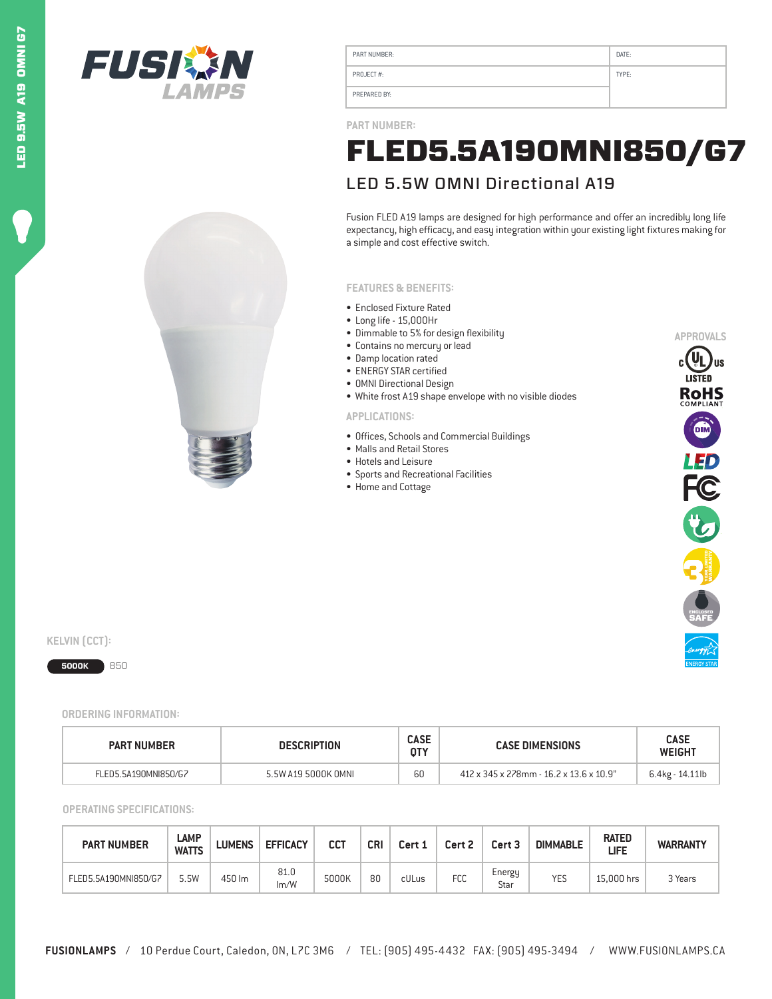



| PART NUMBER:  | DATE: |
|---------------|-------|
| PROJECT $#$ : | TYPE: |
| PREPARED BY:  |       |

**PART NUMBER:**

# FLED5.5A19OMNI850/G7

# LED 5.5W OMNI Directional A19

Fusion FLED A19 lamps are designed for high performance and offer an incredibly long life expectancy, high efficacy, and easy integration within your existing light fixtures making for a simple and cost effective switch.

## **FEATURES & BENEFITS:**

- Enclosed Fixture Rated
- Long life 15,000Hr
- Dimmable to 5% for design flexibility
- Contains no mercury or lead
- Damp location rated
- ENERGY STAR certified
- OMNI Directional Design
- White frost A19 shape envelope with no visible diodes

## **APPLICATIONS:**

- Offices, Schools and Commercial Buildings
- Malls and Retail Stores
- Hotels and Leisure
- Sports and Recreational Facilities
- Home and Cottage



 $KELVIN$   $(CCT)$ :

# **5000K** 850

#### **ORDERING INFORMATION:**

| <b>PART NUMBER</b>   | <b>DESCRIPTION</b>  |    | <b>CASE DIMENSIONS</b>                  | <b>CASE</b><br><b>WEIGHT</b> |  |
|----------------------|---------------------|----|-----------------------------------------|------------------------------|--|
| FLED5.5A190MNI850/G7 | 5.5W A19 5000K OMNL | טט | 412 x 345 x 278mm - 16.2 x 13.6 x 10.9" | 6.4kg - 14.11lb              |  |

#### **OPERATING SPECIFICATIONS:**

| <b>PART NUMBER</b>   | LAMP<br><b>LUMENS</b><br><b>WATTS</b> |        | <b>EFFICACY</b> | CCT   | <b>CRI</b> | Cert 1 | Cert 2 | Cert 3         | <b>DIMMABLE</b> | <b>RATED</b><br>LIFE | <b>WARRANTY</b> |
|----------------------|---------------------------------------|--------|-----------------|-------|------------|--------|--------|----------------|-----------------|----------------------|-----------------|
| FLED5.5A190MNI850/G7 | 5.5W                                  | 450 lm | 81.0<br>Im/W    | 5000K | 80         | cULus  | FCC    | Energy<br>Star | <b>YES</b>      | 15.000 hrs           | 3 Years         |